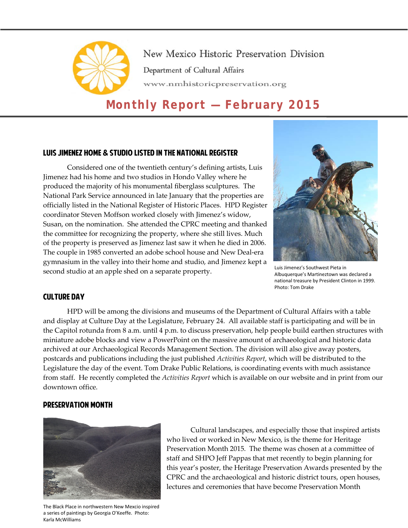

New Mexico Historic Preservation Division Department of Cultural Affairs www.nmhistoricpreservation.org

# **Monthly Report — February 2015**

# Luis Jimenez Home & Studio Listed in the National Register

Considered one of the twentieth century's defining artists, Luis Jimenez had his home and two studios in Hondo Valley where he produced the majority of his monumental fiberglass sculptures. The National Park Service announced in late January that the properties are officially listed in the National Register of Historic Places. HPD Register coordinator Steven Moffson worked closely with Jimenez's widow, Susan, on the nomination. She attended the CPRC meeting and thanked the committee for recognizing the property, where she still lives. Much of the property is preserved as Jimenez last saw it when he died in 2006. The couple in 1985 converted an adobe school house and New Deal-era gymnasium in the valley into their home and studio, and Jimenez kept a second studio at an apple shed on a separate property.



Luis Jimenez's Southwest Pieta in Albuquerque's Martineztown was declared a national treasure by President Clinton in 1999. Photo: Tom Drake

# Culture Day

HPD will be among the divisions and museums of the Department of Cultural Affairs with a table and display at Culture Day at the Legislature, February 24. All available staff is participating and will be in the Capitol rotunda from 8 a.m. until 4 p.m. to discuss preservation, help people build earthen structures with miniature adobe blocks and view a PowerPoint on the massive amount of archaeological and historic data archived at our Archaeological Records Management Section. The division will also give away posters, postcards and publications including the just published *Activities Report*, which will be distributed to the Legislature the day of the event. Tom Drake Public Relations, is coordinating events with much assistance from staff. He recently completed the *Activities Report* which is available on our website and in print from our downtown office.

# Preservation Month



Cultural landscapes, and especially those that inspired artists who lived or worked in New Mexico, is the theme for Heritage Preservation Month 2015. The theme was chosen at a committee of staff and SHPO Jeff Pappas that met recently to begin planning for this year's poster, the Heritage Preservation Awards presented by the CPRC and the archaeological and historic district tours, open houses, lectures and ceremonies that have become Preservation Month

The Black Place in northwestern New Mexcio inspired a series of paintings by Georgia O'Keeffe. Photo: Karla McWilliams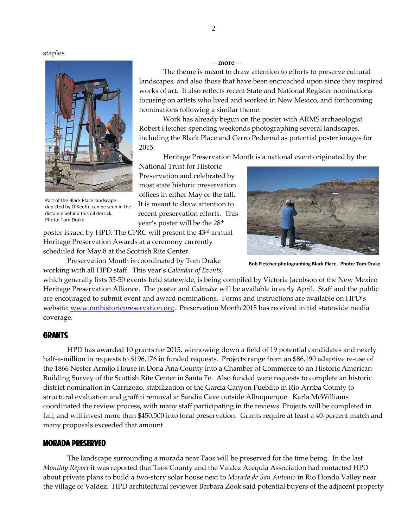staples.



Part of the Black Place landscape depicted by O'Keeffe can be seen in the distance behind this oil derrick. Photo: Tom Drake

The theme is meant to draw attention to efforts to preserve cultural landscapes, and also those that have been encroached upon since they inspired works of art. It also reflects recent State and National Register nominations focusing on artists who lived and worked in New Mexico, and forthcoming

Work has already begun on the poster with ARMS archaeologist Robert Fletcher spending weekends photographing several landscapes, including the Black Place and Cerro Pedernal as potential poster images for 2015.

Heritage Preservation Month is a national event originated by the

National Trust for Historic Preservation and celebrated by most state historic preservation offices in either May or the fall. It is meant to draw attention to recent preservation efforts. This year's poster will be the 28<sup>th</sup>

nominations following a similar theme.

poster issued by HPD. The CPRC will present the 43<sup>rd</sup> annual Heritage Preservation Awards at a ceremony currently scheduled for May 8 at the Scottish Rite Center.

Preservation Month is coordinated by Tom Drake working with all HPD staff. This year's *Calendar of Events*,

which generally lists 35-50 events held statewide, is being compiled by Victoria Jacobson of the New Mexico Heritage Preservation Alliance. The poster and *Calendar* will be available in early April. Staff and the public are encouraged to submit event and award nominations. Forms and instructions are available on HPD's website[: www.nmhistoricpreservation.org.](http://www.nmhistoricpreservation.org/) Preservation Month 2015 has received initial statewide media coverage.

## **GRANTS**

HPD has awarded 10 grants for 2015, winnowing down a field of 19 potential candidates and nearly half-a-million in requests to \$196,176 in funded requests. Projects range from an \$86,190 adaptive re-use of the 1866 Nestor Armijo House in Dona Ana County into a Chamber of Commerce to an Historic American Building Survey of the Scottish Rite Center in Santa Fe. Also funded were requests to complete an historic district nomination in Carrizozo, stabilization of the Garcia Canyon Pueblito in Rio Arriba County to structural evaluation and graffiti removal at Sandia Cave outside Albuquerque. Karla McWilliams coordinated the review process, with many staff participating in the reviews. Projects will be completed in fall, and will invest more than \$450,500 into local preservation. Grants require at least a 40-percent match and many proposals exceeded that amount.

## Morada Preserved

The landscape surrounding a morada near Taos will be preserved for the time being. In the last *Monthly Report* it was reported that Taos County and the Valdez Acequia Association had contacted HPD about private plans to build a two-story solar house next to *Morada de San Antonio* in Rio Hondo Valley near the village of Valdez. HPD architectural reviewer Barbara Zook said potential buyers of the adjacent property

**Bob Fletcher photographing Black Place. Photo: Tom Drake**

**––more––**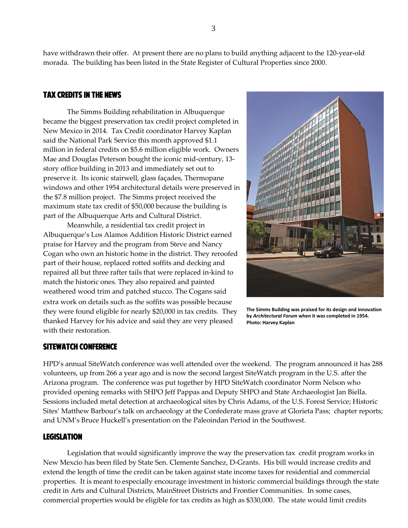have withdrawn their offer. At present there are no plans to build anything adjacent to the 120-year-old morada. The building has been listed in the State Register of Cultural Properties since 2000.

# Tax Credits in the News

 The Simms Building rehabilitation in Albuquerque became the biggest preservation tax credit project completed in New Mexico in 2014. Tax Credit coordinator Harvey Kaplan said the National Park Service this month approved \$1.1 million in federal credits on \$5.6 million eligible work. Owners Mae and Douglas Peterson bought the iconic mid-century, 13 story office building in 2013 and immediately set out to preserve it. Its iconic stairwell, glass façades, Thermopane windows and other 1954 architectural details were preserved in the \$7.8 million project. The Simms project received the maximum state tax credit of \$50,000 because the building is part of the Albuquerque Arts and Cultural District.

Meanwhile, a residential tax credit project in Albuquerque's Los Alamos Addition Historic District earned praise for Harvey and the program from Steve and Nancy Cogan who own an historic home in the district. They reroofed part of their house, replaced rotted soffits and decking and repaired all but three rafter tails that were replaced in-kind to match the historic ones. They also repaired and painted weathered wood trim and patched stucco. The Cogans said extra work on details such as the soffits was possible because they were found eligible for nearly \$20,000 in tax credits. They thanked Harvey for his advice and said they are very pleased with their restoration.

**The Simms Building was praised for its design and innovation by** *Architectural Forum* **when it was completed in 1954. Photo: Harvey Kaplan**

# SiteWatch Conference

HPD's annual SiteWatch conference was well attended over the weekend. The program announced it has 288 volunteers, up from 266 a year ago and is now the second largest SiteWatch program in the U.S. after the Arizona program. The conference was put together by HPD SiteWatch coordinator Norm Nelson who provided opening remarks with SHPO Jeff Pappas and Deputy SHPO and State Archaeologist Jan Biella. Sessions included metal detection at archaeological sites by Chris Adams, of the U.S. Forest Service; Historic Sites' Matthew Barbour's talk on archaeology at the Confederate mass grave at Glorieta Pass; chapter reports; and UNM's Bruce Huckell's presentation on the Paleoindan Period in the Southwest.

### Legislation

Legislation that would significantly improve the way the preservation tax credit program works in New Mexcio has been filed by State Sen. Clemente Sanchez, D-Grants. His bill would increase credits and extend the length of time the credit can be taken against state income taxes for residential and commercial properties. It is meant to especially encourage investment in historic commercial buildings through the state credit in Arts and Cultural Districts, MainStreet Districts and Frontier Communities. In some cases, commercial properties would be eligible for tax credits as high as \$330,000. The state would limit credits